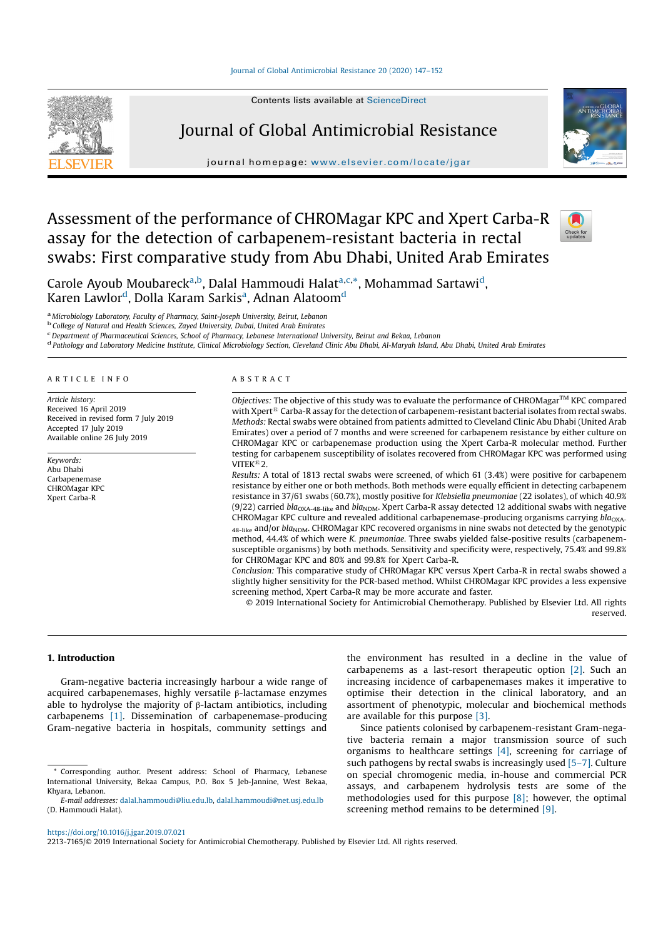Contents lists available at ScienceDirect



# Journal of Global Antimicrobial Resistance

journal homepage: www.elsevier.com/locate/jgar



# Assessment of the performance of CHROMagar KPC and Xpert Carba-R assay for the detection of carbapenem-resistant bacteria in rectal swabs: First comparative study from Abu Dhabi, United Arab Emirates

Check for<br>updates

Carole Ayoub Moubareck<sup>a,b</sup>, Dalal Hammoudi Halat<sup>a,c,\*</sup>, Mohammad Sartawi<sup>d</sup>, Karen Lawlor<sup>d</sup>, Dolla Karam Sarkis<sup>a</sup>, Adnan Alatoom<sup>d</sup>

<sup>a</sup> Microbiology Laboratory, Faculty of Pharmacy, Saint-Joseph University, Beirut, Lebanon<br><sup>b</sup> College of Natural and Health Sciences, Zayed University, Dubai, United Arab Emirates<br><sup>c</sup> Department of Pharmaceutical Sciences

d Pathology and Laboratory Medicine Institute, Clinical Microbiology Section, Cleveland Clinic Abu Dhabi, Al-Maryah Island, Abu Dhabi, United Arab Emirates

#### A R T I C L E I N F O

Article history: Received 16 April 2019 Received in revised form 7 July 2019 Accepted 17 July 2019 Available online 26 July 2019

Keywords: Abu Dhabi Carbapenemase CHROMagar KPC Xpert Carba-R

#### A B S T R A C T

Objectives: The objective of this study was to evaluate the performance of CHROMagar $^{TM}$  KPC compared with Xpert<sup>®</sup> Carba-R assay for the detection of carbapenem-resistant bacterial isolates from rectal swabs. Methods: Rectal swabs were obtained from patients admitted to Cleveland Clinic Abu Dhabi (United Arab Emirates) over a period of 7 months and were screened for carbapenem resistance by either culture on CHROMagar KPC or carbapenemase production using the Xpert Carba-R molecular method. Further testing for carbapenem susceptibility of isolates recovered from CHROMagar KPC was performed using VITEK<sup>®</sup>2

Results: A total of 1813 rectal swabs were screened, of which 61 (3.4%) were positive for carbapenem resistance by either one or both methods. Both methods were equally efficient in detecting carbapenem resistance in 37/61 swabs (60.7%), mostly positive for Klebsiella pneumoniae (22 isolates), of which 40.9% (9/22) carried  $bla_{OX_{A-48-like}}$  and  $bla_{NDM}$ . Xpert Carba-R assay detected 12 additional swabs with negative CHROMagar KPC culture and revealed additional carbapenemase-producing organisms carrying  $bla_{\rm OXA}$ 48-like and/or bla<sub>NDM</sub>. CHROMagar KPC recovered organisms in nine swabs not detected by the genotypic method, 44.4% of which were K. pneumoniae. Three swabs yielded false-positive results (carbapenemsusceptible organisms) by both methods. Sensitivity and specificity were, respectively, 75.4% and 99.8% for CHROMagar KPC and 80% and 99.8% for Xpert Carba-R.

Conclusion: This comparative study of CHROMagar KPC versus Xpert Carba-R in rectal swabs showed a slightly higher sensitivity for the PCR-based method. Whilst CHROMagar KPC provides a less expensive screening method, Xpert Carba-R may be more accurate and faster.

© 2019 International Society for Antimicrobial Chemotherapy. Published by Elsevier Ltd. All rights reserved.

## 1. Introduction

Gram-negative bacteria increasingly harbour a wide range of acquired carbapenemases, highly versatile β-lactamase enzymes able to hydrolyse the majority of  $β$ -lactam antibiotics, including carbapenems [1]. Dissemination of carbapenemase-producing Gram-negative bacteria in hospitals, community settings and

the environment has resulted in a decline in the value of carbapenems as a last-resort therapeutic option [2]. Such an increasing incidence of carbapenemases makes it imperative to optimise their detection in the clinical laboratory, and an assortment of phenotypic, molecular and biochemical methods are available for this purpose [3].

Since patients colonised by carbapenem-resistant Gram-negative bacteria remain a major transmission source of such organisms to healthcare settings  $[4]$ , screening for carriage of such pathogens by rectal swabs is increasingly used [5–7 ]. Culture on special chromogenic media, in-house and commercial PCR assays, and carbapenem hydrolysis tests are some of the methodologies used for this purpose [8]; however, the optimal screening method remains to be determined [9].

Corresponding author. Present address: School of Pharmacy, Lebanese International University, Bekaa Campus, P.O. Box 5 Jeb-Jannine, West Bekaa, Khyara, Lebanon.

E-mail addresses: dalal.hammoudi@liu.edu.lb, dalal.hammoudi@net.usj.edu.lb (D. Hammoudi Halat).

https://doi.org/10.1016/j.jgar.2019.07.021

<sup>2213-7 16 5/©</sup> 2019 International Society for Antimicrobial Chemotherapy. Published by Elsevier Ltd. All rights reserved.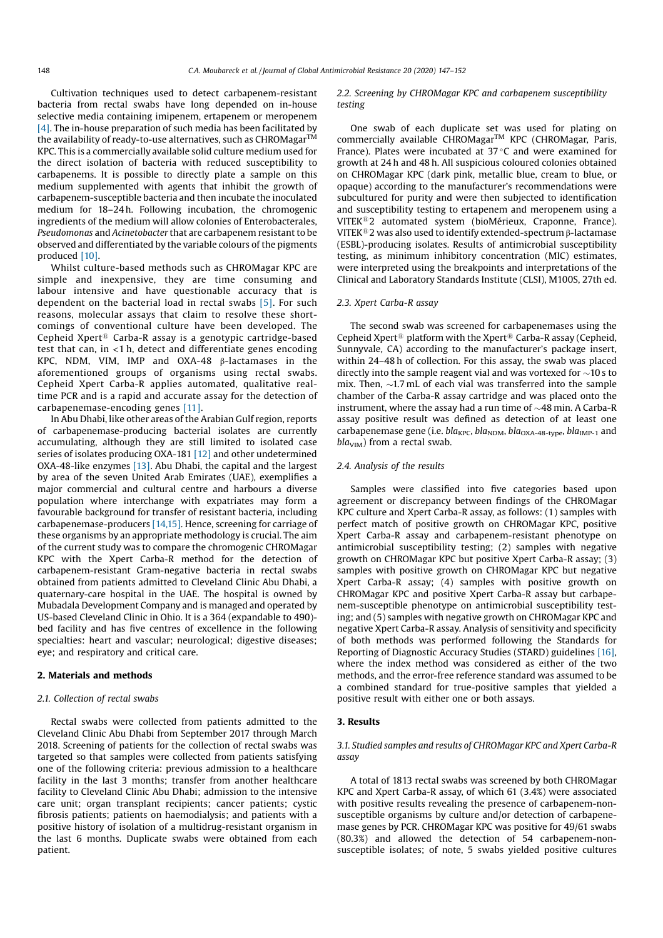Cultivation techniques used to detect carbapenem-resistant bacteria from rectal swabs have long depended on in-house selective media containing imipenem, ertapenem or meropenem [4]. The in-house preparation of such media has been facilitated by the availability of ready-to-use alternatives, such as CHROMagar<sup>TM</sup> KPC. This is a commercially available solid culture medium used for the direct isolation of bacteria with reduced susceptibility to carbapenems. It is possible to directly plate a sample on this medium supplemented with agents that inhibit the growth of carbapenem-susceptible bacteria and then incubate the inoculated medium for 18–24 h. Following incubation, the chromogenic ingredients of the medium will allow colonies of Enterobacterales, Pseudomonas and Acinetobacter that are carbapenem resistant to be observed and differentiated by the variable colours of the pigments produced [10].

Whilst culture-based methods such as CHROMagar KPC are simple and inexpensive, they are time consuming and labour intensive and have questionable accuracy that is dependent on the bacterial load in rectal swabs [5]. For such reasons, molecular assays that claim to resolve these shortcomings of conventional culture have been developed. The Cepheid Xpert<sup>®</sup> Carba-R assay is a genotypic cartridge-based test that can, in  $\langle 1 \text{ h} \rangle$ , detect and differentiate genes encoding KPC, NDM, VIM, IMP and OXA-48 β-lactamases in the aforementioned groups of organisms using rectal swabs. Cepheid Xpert Carba-R applies automated, qualitative realtime PCR and is a rapid and accurate assay for the detection of carbapenemase-encoding genes [11].

In Abu Dhabi, like other areas of the Arabian Gulf region, reports of carbapenemase-producing bacterial isolates are currently accumulating, although they are still limited to isolated case series of isolates producing OXA-181 [12] and other undetermined OXA-48-like enzymes [13]. Abu Dhabi, the capital and the largest by area of the seven United Arab Emirates (UAE), exemplifies a major commercial and cultural centre and harbours a diverse population where interchange with expatriates may form a favourable background for transfer of resistant bacteria, including carbapenemase-producers [14,15]. Hence, screening for carriage of these organisms by an appropriate methodology is crucial. The aim of the current study was to compare the chromogenic CHROMagar KPC with the Xpert Carba-R method for the detection of carbapenem-resistant Gram-negative bacteria in rectal swabs obtained from patients admitted to Cleveland Clinic Abu Dhabi, a quaternary-care hospital in the UAE. The hospital is owned by Mubadala Development Company and is managed and operated by US-based Cleveland Clinic in Ohio. It is a 364 (expandable to 490)bed facility and has five centres of excellence in the following specialties: heart and vascular; neurological; digestive diseases; eye; and respiratory and critical care.

# 2. Materials and methods

#### 2.1. Collection of rectal swabs

Rectal swabs were collected from patients admitted to the Cleveland Clinic Abu Dhabi from September 2017 through March 2018. Screening of patients for the collection of rectal swabs was targeted so that samples were collected from patients satisfying one of the following criteria: previous admission to a healthcare facility in the last 3 months; transfer from another healthcare facility to Cleveland Clinic Abu Dhabi; admission to the intensive care unit; organ transplant recipients; cancer patients; cystic fibrosis patients; patients on haemodialysis; and patients with a positive history of isolation of a multidrug-resistant organism in the last 6 months. Duplicate swabs were obtained from each patient.

# 2.2. Screening by CHROMagar KPC and carbapenem susceptibility testing

One swab of each duplicate set was used for plating on commercially available CHROMagar™ KPC (CHROMagar, Paris, France). Plates were incubated at  $37^{\circ}$ C and were examined for growth at 24 h and 48 h. All suspicious coloured colonies obtained on CHROMagar KPC (dark pink, metallic blue, cream to blue, or opaque) according to the manufacturer's recommendations were subcultured for purity and were then subjected to identification and susceptibility testing to ertapenem and meropenem using a VITEK<sup>®</sup>2 automated system (bioMérieux, Craponne, France). VITEK®2 was also used to identify extended-spectrum β-lactamase (ESBL)-producing isolates. Results of antimicrobial susceptibility testing, as minimum inhibitory concentration (MIC) estimates, were interpreted using the breakpoints and interpretations of the Clinical and Laboratory Standards Institute (CLSI), M100S, 27th ed.

#### 2.3. Xpert Carba-R assay

The second swab was screened for carbapenemases using the Cepheid Xpert<sup>®</sup> platform with the Xpert<sup>®</sup> Carba-R assay (Cepheid, Sunnyvale, CA) according to the manufacturer's package insert, within 24–48 h of collection. For this assay, the swab was placed directly into the sample reagent vial and was vortexed for  $\sim$  10 s to mix. Then,  $\sim$ 1.7 mL of each vial was transferred into the sample chamber of the Carba-R assay cartridge and was placed onto the instrument, where the assay had a run time of  $\sim$ 48 min. A Carba-R assay positive result was defined as detection of at least one carbapenemase gene (i.e.  $bla_{KPC}$ ,  $bla_{NDM}$ ,  $bla_{OXA-48-type}$ ,  $bla_{IMP-1}$  and  $bla<sub>VIM</sub>$ ) from a rectal swab.

#### 2.4. Analysis of the results

Samples were classified into five categories based upon agreement or discrepancy between findings of the CHROMagar KPC culture and Xpert Carba-R assay, as follows: (1) samples with perfect match of positive growth on CHROMagar KPC, positive Xpert Carba-R assay and carbapenem-resistant phenotype on antimicrobial susceptibility testing; (2) samples with negative growth on CHROMagar KPC but positive Xpert Carba-R assay; (3) samples with positive growth on CHROMagar KPC but negative Xpert Carba-R assay; (4) samples with positive growth on CHROMagar KPC and positive Xpert Carba-R assay but carbapenem-susceptible phenotype on antimicrobial susceptibility testing; and (5) samples with negative growth on CHROMagar KPC and negative Xpert Carba-R assay. Analysis of sensitivity and specificity of both methods was performed following the Standards for Reporting of Diagnostic Accuracy Studies (STARD) guidelines [16 ], where the index method was considered as either of the two methods, and the error-free reference standard was assumed to be a combined standard for true-positive samples that yielded a positive result with either one or both assays.

# 3. Results

# 3.1. Studied samples and results of CHROMagar KPC and Xpert Carba-R assay

A total of 1813 rectal swabs was screened by both CHROMagar KPC and Xpert Carba-R assay, of which 61 (3.4%) were associated with positive results revealing the presence of carbapenem-nonsusceptible organisms by culture and/or detection of carbapenemase genes by PCR. CHROMagar KPC was positive for 49/61 swabs (80.3%) and allowed the detection of 54 carbapenem-nonsusceptible isolates; of note, 5 swabs yielded positive cultures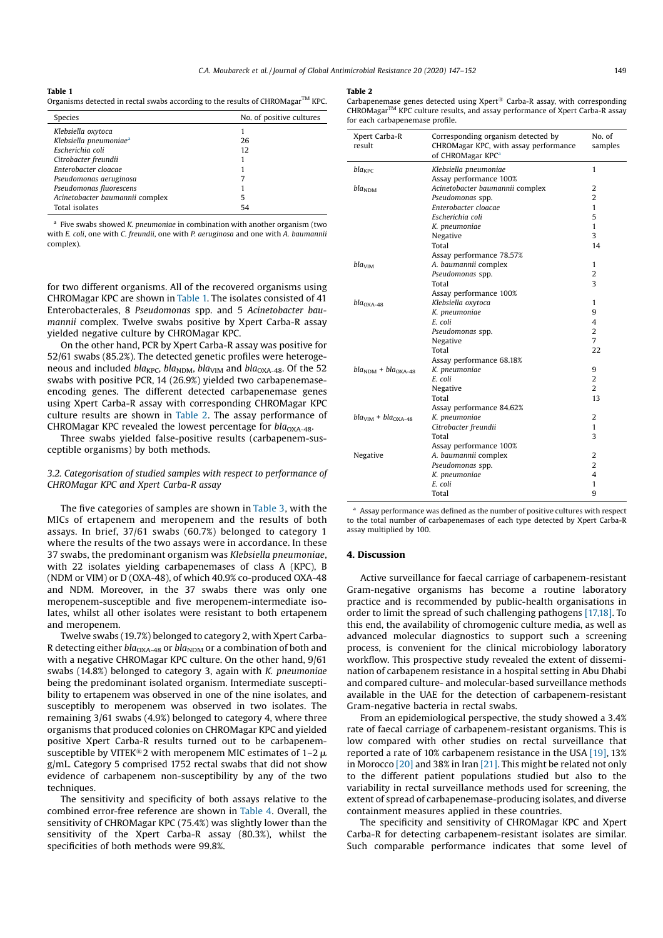Table 1 Organisms detected in rectal swabs according to the results of CHROMagar<sup>TM</sup> KPC.

### Table 2

Carbapenemase genes detected using Xpert<sup>®</sup> Carba-R assay, with corresponding CHROMagarTM KPC culture results, and assay performance of Xpert Carba-R assay for each carbapenemase profile.

| Species                            | No. of positive cultures |
|------------------------------------|--------------------------|
| Klebsiella oxytoca                 |                          |
| Klebsiella pneumoniae <sup>a</sup> | 26                       |
| Escherichia coli                   | 12                       |
| Citrobacter freundii               |                          |
| Enterobacter cloacae               |                          |
| Pseudomonas aeruginosa             |                          |
| Pseudomonas fluorescens            |                          |
| Acinetobacter baumannii complex    | 5                        |
| Total isolates                     | 54                       |

 $a$  Five swabs showed K. pneumoniae in combination with another organism (two with E. coli, one with C. freundii, one with P. aeruginosa and one with A. baumannii complex).

for two different organisms. All of the recovered organisms using CHROMagar KPC are shown in Table 1. The isolates consisted of 41 Enterobacterales, 8 Pseudomonas spp. and 5 Acinetobacter baumannii complex. Twelve swabs positive by Xpert Carba-R assay yielded negative culture by CHROMagar KPC.

On the other hand, PCR by Xpert Carba-R assay was positive for 52/61 swabs (85.2%). The detected genetic profiles were heterogeneous and included bla<sub>KPC</sub>, bla<sub>NDM</sub>, bla<sub>VIM</sub> and bla<sub>OXA-48</sub>. Of the 52 swabs with positive PCR, 14 (26.9%) yielded two carbapenemaseencoding genes. The different detected carbapenemase genes using Xpert Carba-R assay with corresponding CHROMagar KPC culture results are shown in Table 2. The assay performance of CHROMagar KPC revealed the lowest percentage for  $bla_{\text{OXA-48}}$ .

Three swabs yielded false-positive results (carbapenem-susceptible organisms) by both methods.

# 3.2. Categorisation of studied samples with respect to performance of CHROMagar KPC and Xpert Carba-R assay

The five categories of samples are shown in Table 3, with the MICs of ertapenem and meropenem and the results of both assays. In brief,  $37/61$  swabs (60.7%) belonged to category 1 where the results of the two assays were in accordance. In these 37 swabs, the predominant organism was Klebsiella pneumoniae, with 22 isolates yielding carbapenemases of class A (KPC), B (NDM or VIM) or D (OXA-48), of which 40.9% co-produced OXA-48 and NDM. Moreover, in the 37 swabs there was only one meropenem-susceptible and five meropenem-intermediate isolates, whilst all other isolates were resistant to both ertapenem and meropenem.

Twelve swabs (19.7%) belonged to category 2, with Xpert Carba-R detecting either  $bla_{\rm OXA-48}$  or  $bla_{\rm NDM}$  or a combination of both and with a negative CHROMagar KPC culture. On the other hand, 9/61 swabs (14.8%) belonged to category 3, again with K. pneumoniae being the predominant isolated organism. Intermediate susceptibility to ertapenem was observed in one of the nine isolates, and susceptibly to meropenem was observed in two isolates. The remaining  $3/61$  swabs  $(4.9%)$  belonged to category 4, where three organisms that produced colonies on CHROMagar KPC and yielded positive Xpert Carba-R results turned out to be carbapenemsusceptible by VITEK®2 with meropenem MIC estimates of 1–2  $\mu$ g/mL. Category 5 comprised 1752 rectal swabs that did not show evidence of carbapenem non-susceptibility by any of the two techniques.

The sensitivity and specificity of both assays relative to the combined error-free reference are shown in Table 4. Overall, the sensitivity of CHROMagar KPC (75.4%) was slightly lower than the sensitivity of the Xpert Carba-R assay (80.3%), whilst the specificities of both methods were 99.8%.

| Xpert Carba-R<br>result | Corresponding organism detected by<br>CHROMagar KPC, with assay performance<br>of CHROMagar KPC <sup>a</sup> | No. of<br>samples |
|-------------------------|--------------------------------------------------------------------------------------------------------------|-------------------|
| $bla_{KPC}$             | Klebsiella pneumoniae                                                                                        | 1                 |
|                         | Assay performance 100%                                                                                       |                   |
| bla <sub>NDM</sub>      | Acinetobacter baumannii complex                                                                              | 2                 |
|                         | Pseudomonas spp.                                                                                             | $\overline{2}$    |
|                         | Enterobacter cloacae                                                                                         | 1                 |
|                         | Escherichia coli                                                                                             | 5                 |
|                         | K. pneumoniae                                                                                                | 1                 |
|                         | Negative                                                                                                     | 3                 |
|                         | Total                                                                                                        | 14                |
|                         | Assay performance 78.57%                                                                                     |                   |
| bla <sub>VIM</sub>      | A. baumannii complex                                                                                         | 1                 |
|                         | Pseudomonas spp.                                                                                             | 2                 |
|                         | Total                                                                                                        | 3                 |
|                         | Assay performance 100%                                                                                       |                   |
| $blaOXA-48$             | Klebsiella oxytoca                                                                                           | 1                 |
|                         | K. pneumoniae                                                                                                | 9                 |
|                         | E. coli                                                                                                      | 4                 |
|                         | Pseudomonas spp.                                                                                             | $\overline{2}$    |
|                         | Negative                                                                                                     | $\overline{7}$    |
|                         | Total                                                                                                        | 22                |
|                         | Assay performance 68.18%                                                                                     |                   |
| $blaNM + blaOXA-48$     | K. pneumoniae                                                                                                | 9                 |
|                         | E. coli                                                                                                      | 2                 |
|                         | Negative                                                                                                     | $\overline{2}$    |
|                         | Total                                                                                                        | 13                |
|                         | Assay performance 84.62%                                                                                     |                   |
| $blaVIM + blaOXA-48$    | K. pneumoniae                                                                                                | 2                 |
|                         | Citrobacter freundii                                                                                         | 1                 |
|                         | Total                                                                                                        | 3                 |
|                         | Assay performance 100%                                                                                       |                   |
| Negative                | A. baumannii complex                                                                                         | 2                 |
|                         | Pseudomonas spp.                                                                                             | $\overline{2}$    |
|                         | K. pneumoniae                                                                                                | 4                 |
|                         | E. coli                                                                                                      | 1                 |
|                         | Total                                                                                                        | 9                 |
|                         |                                                                                                              |                   |

<sup>a</sup> Assay performance was defined as the number of positive cultures with respect to the total number of carbapenemases of each type detected by Xpert Carba-R assay multiplied by 100.

## 4. Discussion

Active surveillance for faecal carriage of carbapenem-resistant Gram-negative organisms has become a routine laboratory practice and is recommended by public-health organisations in order to limit the spread of such challenging pathogens [17,18]. To this end, the availability of chromogenic culture media, as well as advanced molecular diagnostics to support such a screening process, is convenient for the clinical microbiology laboratory workflow. This prospective study revealed the extent of dissemination of carbapenem resistance in a hospital setting in Abu Dhabi and compared culture- and molecular-based surveillance methods available in the UAE for the detection of carbapenem-resistant Gram-negative bacteria in rectal swabs.

From an epidemiological perspective, the study showed a 3.4% rate of faecal carriage of carbapenem-resistant organisms. This is low compared with other studies on rectal surveillance that reported a rate of 10% carbapenem resistance in the USA [19], 13% in Morocco [20] and 38% in Iran [21]. This might be related not only to the different patient populations studied but also to the variability in rectal surveillance methods used for screening, the extent of spread of carbapenemase-producing isolates, and diverse containment measures applied in these countries.

The specificity and sensitivity of CHROMagar KPC and Xpert Carba-R for detecting carbapenem-resistant isolates are similar. Such comparable performance indicates that some level of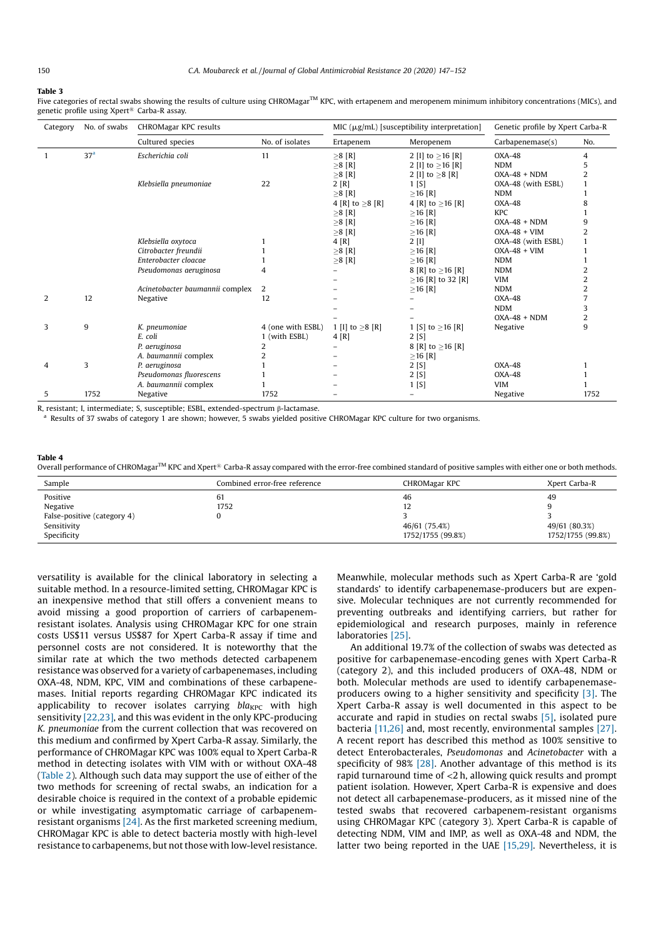#### Table 3

Five categories of rectal swabs showing the results of culture using CHROMagar<sup>TM</sup> KPC, with ertapenem and meropenem minimum inhibitory concentrations (MICs), and genetic profile using  $X$ pert<sup>®</sup> Carba-R assay

| Category | No. of swabs    | CHROMagar KPC results<br>MIC $(\mu g/mL)$ [susceptibility interpretation] |                   | Genetic profile by Xpert Carba-R |                          |                    |      |
|----------|-----------------|---------------------------------------------------------------------------|-------------------|----------------------------------|--------------------------|--------------------|------|
|          |                 | Cultured species                                                          | No. of isolates   | Ertapenem                        | Meropenem                | Carbapenemase(s)   | No.  |
|          | 37 <sup>a</sup> | Escherichia coli                                                          | 11                | $\geq$ 8 [R]                     | 2 [I] to $\geq$ 16 [R]   | OXA-48             | 4    |
|          |                 |                                                                           |                   | $\geq$ 8 [R]                     | 2 [I] to $\geq$ 16 [R]   | <b>NDM</b>         | 5    |
|          |                 |                                                                           |                   | $\geq$ 8 [R]                     | 2 [I] to $\geq 8$ [R]    | $OXA-48 + NDM$     |      |
|          |                 | Klebsiella pneumoniae                                                     | 22                | 2[R]                             | 1 <sub>[S]</sub>         | OXA-48 (with ESBL) |      |
|          |                 |                                                                           |                   | $\geq$ 8 [R]                     | $\geq$ 16 [R]            | <b>NDM</b>         |      |
|          |                 |                                                                           |                   | 4 [R] to $\geq 8$ [R]            | 4 [R] to $\geq$ 16 [R]   | OXA-48             | 8    |
|          |                 |                                                                           |                   | $\geq$ 8 [R]                     | $\geq$ 16 [R]            | <b>KPC</b>         |      |
|          |                 |                                                                           |                   | $\geq$ 8 [R]                     | $\geq$ 16 [R]            | $OXA-48 + NDM$     | 9    |
|          |                 |                                                                           |                   | $\geq$ 8 [R]                     | $\geq$ 16 [R]            | $OXA-48 + VIM$     |      |
|          |                 | Klebsiella oxytoca                                                        |                   | 4[R]                             | $2$ [I]                  | OXA-48 (with ESBL) |      |
|          |                 | Citrobacter freundii                                                      |                   | $\geq$ 8 [R]                     | $\geq$ 16 [R]            | $OXA-48 + VIM$     |      |
|          |                 | Enterobacter cloacae                                                      |                   | $\geq$ 8 [R]                     | $\geq$ 16 [R]            | <b>NDM</b>         |      |
|          |                 | Pseudomonas aeruginosa                                                    | 4                 |                                  | 8 [R] to $\geq$ 16 [R]   | <b>NDM</b>         | 2    |
|          |                 |                                                                           |                   |                                  | $\geq$ 16 [R] to 32 [R]  | <b>VIM</b>         | 2    |
|          |                 | Acinetobacter baumannii complex                                           | 2                 |                                  | $\geq$ 16 [R]            | <b>NDM</b>         | 2    |
| 2        | 12              | Negative                                                                  | 12                |                                  |                          | OXA-48             |      |
|          |                 |                                                                           |                   |                                  |                          | <b>NDM</b>         | 3    |
|          |                 |                                                                           |                   |                                  |                          | $OXA-48 + NDM$     | 2    |
| 3        | 9               | K. pneumoniae                                                             | 4 (one with ESBL) | 1 [I] to $\geq 8$ [R]            | 1 [S] to $\geq$ 16 [R]   | Negative           | 9    |
|          |                 | E. coli                                                                   | 1 (with ESBL)     | 4[R]                             | 2 <sub>[S]</sub>         |                    |      |
|          |                 | P. aeruginosa                                                             | 2                 |                                  | 8 [R] to $\geq$ 16 [R]   |                    |      |
|          |                 | A. baumannii complex                                                      |                   |                                  | $\geq$ 16 [R]            |                    |      |
| 4        | 3               | P. aeruginosa                                                             |                   |                                  | 2 <sub>[S]</sub>         | OXA-48             |      |
|          |                 | Pseudomonas fluorescens                                                   |                   |                                  | 2[S]                     | OXA-48             |      |
|          |                 | A. baumannii complex                                                      |                   |                                  | 1 <sub>[S]</sub>         | <b>VIM</b>         |      |
| 5        | 1752            | Negative                                                                  | 1752              |                                  | $\overline{\phantom{0}}$ | Negative           | 1752 |

R, resistant; I, intermediate; S, susceptible; ESBL, extended-spectrum β-lactamase.<br><sup>a</sup> Results of 37 swabs of category 1 are shown; however, 5 swabs yielded positive CHROMagar KPC culture for two organisms.

# Table 4

| Overall performance of CHROMagar <sup>TM</sup> KPC and Xpert <sup>®</sup> Carba-R assay compared with the error-free combined standard of positive samples with either one or both methods. |  |
|---------------------------------------------------------------------------------------------------------------------------------------------------------------------------------------------|--|
|---------------------------------------------------------------------------------------------------------------------------------------------------------------------------------------------|--|

| Sample                      | Combined error-free reference | CHROMagar KPC     | Xpert Carba-R     |
|-----------------------------|-------------------------------|-------------------|-------------------|
| Positive                    | 61                            | 46                | 49                |
| Negative                    | 1752                          | 12                |                   |
| False-positive (category 4) |                               |                   |                   |
| Sensitivity                 |                               | 46/61 (75.4%)     | 49/61 (80.3%)     |
| Specificity                 |                               | 1752/1755 (99.8%) | 1752/1755 (99.8%) |

versatility is available for the clinical laboratory in selecting a suitable method. In a resource-limited setting, CHROMagar KPC is an inexpensive method that still offers a convenient means to avoid missing a good proportion of carriers of carbapenemresistant isolates. Analysis using CHROMagar KPC for one strain costs US\$11 versus US\$87 for Xpert Carba-R assay if time and personnel costs are not considered. It is noteworthy that the similar rate at which the two methods detected carbapenem resistance was observed for a variety of carbapenemases, including OXA-48, NDM, KPC, VIM and combinations of these carbapenemases. Initial reports regarding CHROMagar KPC indicated its applicability to recover isolates carrying  $bla_{KPC}$  with high sensitivity [22,23], and this was evident in the only KPC-producing K. pneumoniae from the current collection that was recovered on this medium and confirmed by Xpert Carba-R assay. Similarly, the performance of CHROMagar KPC was 100% equal to Xpert Carba-R method in detecting isolates with VIM with or without OXA-48 (Table 2). Although such data may support the use of either of the two methods for screening of rectal swabs, an indication for a desirable choice is required in the context of a probable epidemic or while investigating asymptomatic carriage of carbapenemresistant organisms [24]. As the first marketed screening medium, CHROMagar KPC is able to detect bacteria mostly with high-level resistance to carbapenems, but not those with low-level resistance. Meanwhile, molecular methods such as Xpert Carba-R are 'gold standards' to identify carbapenemase-producers but are expensive. Molecular techniques are not currently recommended for preventing outbreaks and identifying carriers, but rather for epidemiological and research purposes, mainly in reference laboratories [25].

An additional 19.7% of the collection of swabs was detected as positive for carbapenemase-encoding genes with Xpert Carba-R (category 2), and this included producers of OXA-48, NDM or both. Molecular methods are used to identify carbapenemaseproducers owing to a higher sensitivity and specificity [3]. The Xpert Carba-R assay is well documented in this aspect to be accurate and rapid in studies on rectal swabs [5], isolated pure bacteria [11,26] and, most recently, environmental samples [27]. A recent report has described this method as 100% sensitive to detect Enterobacterales, Pseudomonas and Acinetobacter with a specificity of  $98\%$  [28]. Another advantage of this method is its rapid turnaround time of <2 h, allowing quick results and prompt patient isolation. However, Xpert Carba-R is expensive and does not detect all carbapenemase-producers, as it missed nine of the tested swabs that recovered carbapenem-resistant organisms using CHROMagar KPC (category 3). Xpert Carba-R is capable of detecting NDM, VIM and IMP, as well as OXA-48 and NDM, the latter two being reported in the UAE [15,29]. Nevertheless, it is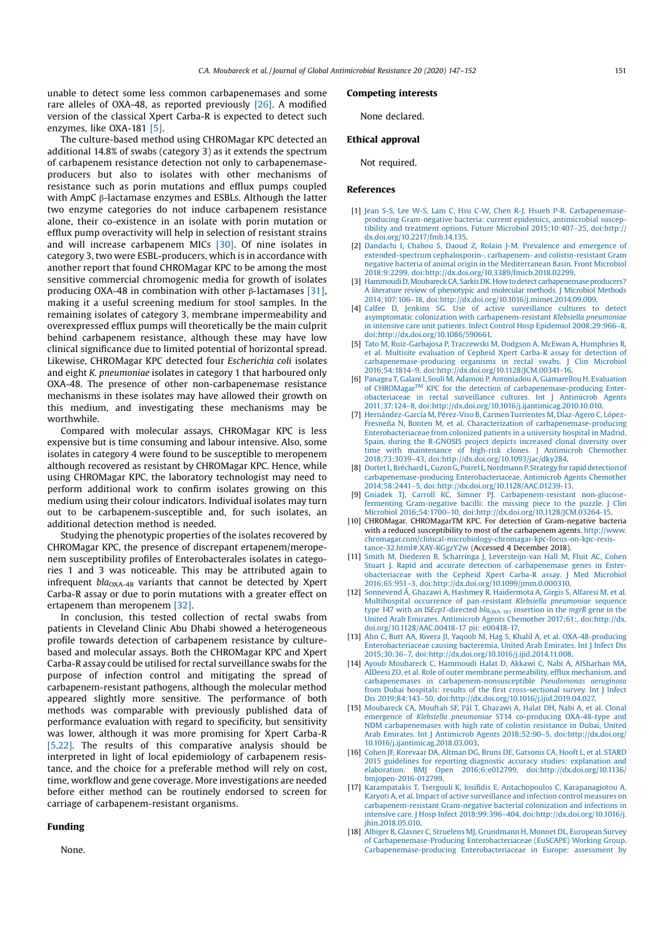unable to detect some less common carbapenemases and some rare alleles of OXA-48, as reported previously  $[26]$ . A modified version of the classical Xpert Carba-R is expected to detect such enzymes, like OXA-181 [5].

The culture-based method using CHROMagar KPC detected an additional 14.8% of swabs (category 3) as it extends the spectrum of carbapenem resistance detection not only to carbapenemaseproducers but also to isolates with other mechanisms of resistance such as porin mutations and efflux pumps coupled with AmpC β-lactamase enzymes and ESBLs. Although the latter two enzyme categories do not induce carbapenem resistance alone, their co-existence in an isolate with porin mutation or efflux pump overactivity will help in selection of resistant strains and will increase carbapenem MICs [30]. Of nine isolates in category 3, two were ESBL-producers, which is in accordance with another report that found CHROMagar KPC to be among the most sensitive commercial chromogenic media for growth of isolates producing OXA-48 in combination with other β-lactamases [31], making it a useful screening medium for stool samples. In the remaining isolates of category 3, membrane impermeability and overexpressed efflux pumps will theoretically be the main culprit behind carbapenem resistance, although these may have low clinical significance due to limited potential of horizontal spread. Likewise, CHROMagar KPC detected four Escherichia coli isolates and eight K. pneumoniae isolates in category 1 that harboured only OXA-48. The presence of other non-carbapenemase resistance mechanisms in these isolates may have allowed their growth on this medium, and investigating these mechanisms may be worthwhile.

Compared with molecular assays, CHROMagar KPC is less expensive but is time consuming and labour intensive. Also, some isolates in category 4 were found to be susceptible to meropenem although recovered as resistant by CHROMagar KPC. Hence, while using CHROMagar KPC, the laboratory technologist may need to perform additional work to confirm isolates growing on this medium using their colour indicators. Individual isolates may turn out to be carbapenem-susceptible and, for such isolates, an additional detection method is needed.

Studying the phenotypic properties of the isolates recovered by CHROMagar KPC, the presence of discrepant ertapenem/meropenem susceptibility profiles of Enterobacterales isolates in categories 1 and 3 was noticeable. This may be attributed again to infrequent  $bla_{\text{OXA-48}}$  variants that cannot be detected by Xpert Carba-R assay or due to porin mutations with a greater effect on ertapenem than meropenem [32].

In conclusion, this tested collection of rectal swabs from patients in Cleveland Clinic Abu Dhabi showed a heterogeneous profile towards detection of carbapenem resistance by culturebased and molecular assays. Both the CHROMagar KPC and Xpert Carba-R assay could be utilised for rectal surveillance swabs for the purpose of infection control and mitigating the spread of carbapenem-resistant pathogens, although the molecular method appeared slightly more sensitive. The performance of both methods was comparable with previously published data of performance evaluation with regard to specificity, but sensitivity was lower, although it was more promising for Xpert Carba-R [5,22]. The results of this comparative analysis should be interpreted in light of local epidemiology of carbapenem resistance, and the choice for a preferable method will rely on cost, time, workflow and gene coverage. More investigations are needed before either method can be routinely endorsed to screen for carriage of carbapenem-resistant organisms.

#### Funding

None.

# Competing interests

None declared.

# Ethical approval

Not required.

### References

- [1] Jean S-S, Lee W-S, Lam C, Hsu C-W, Chen R-J, Hsueh P-R. Carbapenemaseproducing Gram-negative bacteria: current epidemics, antimicrobial susceptibility and treatment options. Future Microbiol 2015;10:407 –25, doi:http:// dx.doi.org/10.2217 /fmb.14.135.
- [2] Dandachi I, Chabou S, Daoud Z, Rolain J-M. Prevalence and emergence of extended-spectrum cephalosporin-, carbapenem- and colistin-resistant Gram negative bacteria of animal origin in the Mediterranean Basin. Front Microbiol 2018;9:2299, doi:http://dx.doi.org/10.3389/fmicb.2018.02299.
- [3] Hammoudi D, Moubareck CA, Sarkis DK. How to detect carbapenemase producers? A literature review of phenotypic and molecular methods. J Microbiol Methods 2014;107:106-18, doi:http://dx.doi.org/10.1016/j.mimet.2014.09.009.
- [4] Calfee D, Jenkins SG. Use of active surveillance cultures to detect asymptomatic colonization with carbapenem-resistant Klebsiella pneumoniae in intensive care unit patients. Infect Control Hosp Epidemiol 2008;29:966-8, doi:http://dx.doi.org/10.1086/590661.
- [5] Tato M, Ruiz-Garbajosa P, Traczewski M, Dodgson A, McEwan A, Humphries R, et al. Multisite evaluation of Cepheid Xpert Carba-R assay for detection of carbapenemase-producing organisms in rectal swabs. J Clin Microbiol 2016 ;54:1814–9 , doi:http://dx.doi.org/10.1128/JCM.00341-16 . [6 ] Panagea T, Galani I, Souli M, Adamou P, Antoniadou A, Giamarellou H. Evaluation
- of CHROMagarTM KPC for the detection of carbapenemase-producing Enterobacteriaceae in rectal surveillance cultures. Int J Antimicrob Agents 2011;37 :124–8, doi:http://dx.doi.org/10.1016 /j.ijantimicag.2010.10.010.
- [7 ] Hernández-García M, Pérez-Viso B, Carmen Turrientes M, Díaz-Agero C, López-Fresneña N, Bonten M, et al. Characterization of carbapenemase-producing Enterobacteriaceae from colonized patients in a university hospital in Madrid, Spain, during the R-GNOSIS project depicts increased clonal diversity over time with maintenance of high-risk clones. J Antimicrob Chemother 2018;73:3039-43, doi:http://dx.doi.org/10.1093/jac/dky284.
- [8] Dortet L, Bréchard L, Cuzon G, Poirel L, Nordmann P. Strategy for rapid detection of carbapenemase-producing Enterobacteriaceae. Antimicrob Agents Chemother 2014;58:2441–5, doi:http://dx.doi.org/10.1128/AAC.01239 -13.
- [9 ] Gniadek TJ, Carroll KC, Simner PJ. Carbapenem-resistant non-glucose-fermenting Gram-negative bacilli: the missing piece to the puzzle. J Clin Microbiol 2016 ;54:17 00–10, doi:http://dx.doi.org/10.1128/JCM.0326 4-15.
- [10] CHROMagar. CHROMagarTM KPC. For detection of Gram-negative bacteria with a reduced susceptibility to most of the carbapenem agents. http://www. chromagar.com/clinical-microbiology-chromagar-kpc-focus-on-kpc-resistance-32.html#.XAY-KGgzY2w (Accessed 4 December 2018).
- [11] Smith M, Diederen B, Scharringa J, Leversteijn-van Hall M, Fluit AC, Cohen Stuart J. Rapid and accurate detection of carbapenemase genes in Enterobacteriaceae with the Cepheid Xpert Carba-R assay. J Med Microbiol 2016;65:951-3, doi:http://dx.doi.org/10.1099/jmm.0.000310.
- [12] Sonnevend Á, Ghazawi A, Hashmey R, Haidermota A, Girgis S, Alfaresi M, et al. Multihospital occurrence of pan-resistant Klebsiella pneumoniae sequence type 147 with an ISEcp1-directed  $bla_{OXA-181}$  insertion in the mgrB gene in the United Arab Emirates. Antimicrob Agents Chemother 2017 ;6 1:, doi:http://dx. doi.org/10.1128/AAC.00418-17 pii: e00418-17 .
- [13] Ahn C, Butt AA, Rivera JI, Yaqoob M, Hag S, Khalil A, et al. OXA-48-producing Enterobacteriaceae causing bacteremia, United Arab Emirates. Int J Infect Dis 2015;30:36 –7 , doi:http://dx.doi.org/10.1016 /j.ijid.2014.11.008.
- [14] Ayoub Moubareck C, Hammoudi Halat D, Akkawi C, Nabi A, AlSharhan MA, AlDeesi ZO, et al. Role of outer membrane permeability, efflux mechanism, and carbapenemases in carbapenem-nonsusceptible Pseudomonas aeruginosa from Dubai hospitals: results of the first cross-sectional survey. Int J Infect Dis 2019 ;84:143–50, doi:http://dx.doi.org/10.1016 /j.ijid.2019 .04.027 .
- [15] Moubareck CA, Mouftah SF, Pál T, Ghazawi A, Halat DH, Nabi A, et al. Clonal emergence of Klebsiella pneumoniae ST14 co-producing OXA-48-type and NDM carbapenemases with high rate of colistin resistance in Dubai, United Arab Emirates. Int J Antimicrob Agents 2018;52:90-5, doi:http://dx.doi.org/ 10.1016 /j.ijantimicag.2018.03.003.
- [16 ] Cohen JF, Korevaar DA, Altman DG, Bruns DE, Gatsonis CA, Hooft L, et al. STARD 2015 guidelines for reporting diagnostic accuracy studies: explanation and elaboration. BMJ Open 2016;6:e012799, doi:http://dx.doi.org/10.1136/ bmiopen-2016-012799.
- [17 ] Karampatakis T, Tsergouli K, Iosifidis E, Antachopoulos C, Karapanagiotou A, Karyoti A, et al. Impact of active surveillance and infection control measures on carbapenem-resistant Gram-negative bacterial colonization and infections in intensive care. J Hosp Infect 2018;99:396-404, doi:http://dx.doi.org/10.1016/j. jhin.2018.05.010.
- [18] Albiger B, Glasner C, Struelens MJ, Grundmann H, Monnet DL, European Survey of Carbapenemase-Producing Enterobacteriaceae (EuSCAPE) Working Group. Carbapenemase-producing Enterobacteriaceae in Europe: assessment by